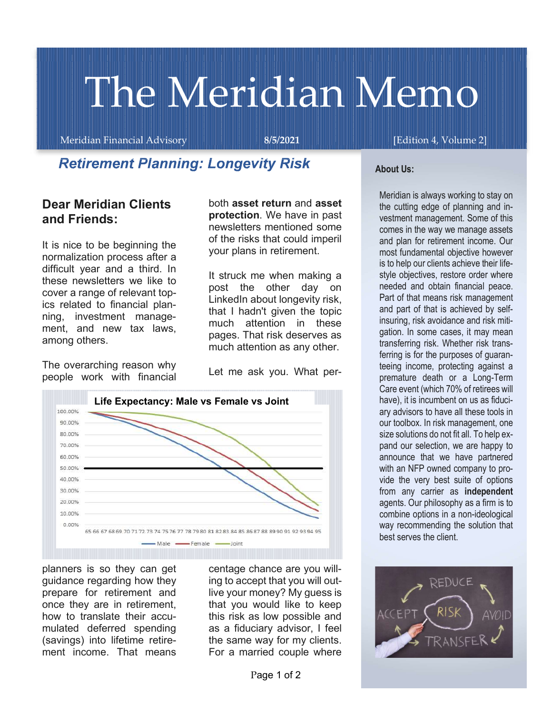# The Meridian Memo

Meridian Financial Advisory 8/5/2021 [Edition 4, Volume 2]

# Retirement Planning: Longevity Risk

## Dear Meridian Clients and Friends:

It is nice to be beginning the normalization process after a difficult year and a third. In these newsletters we like to cover a range of relevant topics related to financial planning, investment management, and new tax laws, among others.

The overarching reason why people work with financial

both asset return and asset protection. We have in past newsletters mentioned some of the risks that could imperil your plans in retirement.

It struck me when making a post the other day on LinkedIn about longevity risk, that I hadn't given the topic much attention in these pages. That risk deserves as much attention as any other.

Let me ask you. What per-



planners is so they can get guidance regarding how they prepare for retirement and once they are in retirement, how to translate their accumulated deferred spending ment income. That means

centage chance are you willing to accept that you will outlive your money? My guess is that you would like to keep this risk as low possible and as a fiduciary advisor, I feel For a married couple where

#### About Us:

Meridian is always working to stay on the cutting edge of planning and investment management. Some of this comes in the way we manage assets and plan for retirement income. Our most fundamental objective however is to help our clients achieve their lifestyle objectives, restore order where needed and obtain financial peace. Part of that means risk management and part of that is achieved by selfinsuring, risk avoidance and risk mitigation. In some cases, it may mean transferring risk. Whether risk transferring is for the purposes of guaranteeing income, protecting against a premature death or a Long-Term Care event (which 70% of retirees will have), it is incumbent on us as fiduciary advisors to have all these tools in our toolbox. In risk management, one size solutions do not fit all. To help expand our selection, we are happy to announce that we have partnered with an NFP owned company to provide the very best suite of options from any carrier as independent agents. Our philosophy as a firm is to combine options in a non-ideological way recommending the solution that best serves the client.